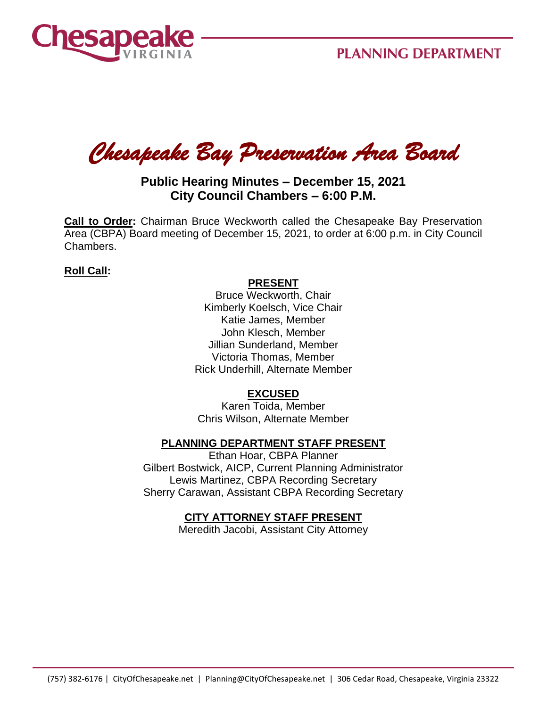

*Chesapeake Bay Preservation Area Board* 

# **Public Hearing Minutes – December 15, 2021 City Council Chambers – 6:00 P.M.**

**Call to Order:** Chairman Bruce Weckworth called the Chesapeake Bay Preservation Area (CBPA) Board meeting of December 15, 2021, to order at 6:00 p.m. in City Council Chambers.

### **Roll Call:**

#### **PRESENT**

Bruce Weckworth, Chair Kimberly Koelsch, Vice Chair Katie James, Member John Klesch, Member Jillian Sunderland, Member Victoria Thomas, Member Rick Underhill, Alternate Member

### **EXCUSED**

Karen Toida, Member Chris Wilson, Alternate Member

## **PLANNING DEPARTMENT STAFF PRESENT**

Ethan Hoar, CBPA Planner Gilbert Bostwick, AICP, Current Planning Administrator Lewis Martinez, CBPA Recording Secretary Sherry Carawan, Assistant CBPA Recording Secretary

### **CITY ATTORNEY STAFF PRESENT**

Meredith Jacobi, Assistant City Attorney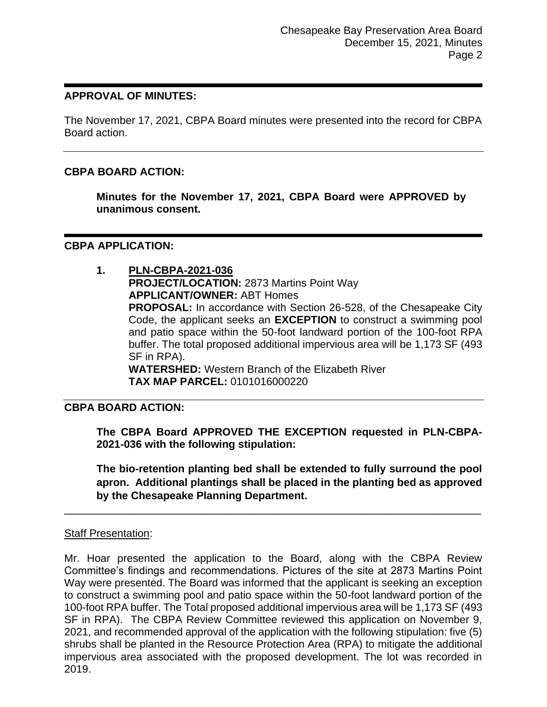### **APPROVAL OF MINUTES:**

The November 17, 2021, CBPA Board minutes were presented into the record for CBPA Board action.

## **CBPA BOARD ACTION:**

**Minutes for the November 17, 2021, CBPA Board were APPROVED by unanimous consent.**

### **CBPA APPLICATION:**

**1. PLN-CBPA-2021-036 PROJECT/LOCATION:** 2873 Martins Point Way **APPLICANT/OWNER:** ABT Homes **PROPOSAL:** In accordance with Section 26-528, of the Chesapeake City Code, the applicant seeks an **EXCEPTION** to construct a swimming pool and patio space within the 50-foot landward portion of the 100-foot RPA buffer. The total proposed additional impervious area will be 1,173 SF (493 SF in RPA). **WATERSHED:** Western Branch of the Elizabeth River **TAX MAP PARCEL:** 0101016000220

### **CBPA BOARD ACTION:**

**The CBPA Board APPROVED THE EXCEPTION requested in PLN-CBPA-2021-036 with the following stipulation:**

**The bio-retention planting bed shall be extended to fully surround the pool apron. Additional plantings shall be placed in the planting bed as approved by the Chesapeake Planning Department.** 

### Staff Presentation:

Mr. Hoar presented the application to the Board, along with the CBPA Review Committee's findings and recommendations. Pictures of the site at 2873 Martins Point Way were presented. The Board was informed that the applicant is seeking an exception to construct a swimming pool and patio space within the 50-foot landward portion of the 100-foot RPA buffer. The Total proposed additional impervious area will be 1,173 SF (493 SF in RPA). The CBPA Review Committee reviewed this application on November 9, 2021, and recommended approval of the application with the following stipulation: five (5) shrubs shall be planted in the Resource Protection Area (RPA) to mitigate the additional impervious area associated with the proposed development. The lot was recorded in 2019.

\_\_\_\_\_\_\_\_\_\_\_\_\_\_\_\_\_\_\_\_\_\_\_\_\_\_\_\_\_\_\_\_\_\_\_\_\_\_\_\_\_\_\_\_\_\_\_\_\_\_\_\_\_\_\_\_\_\_\_\_\_\_\_\_\_\_\_\_\_\_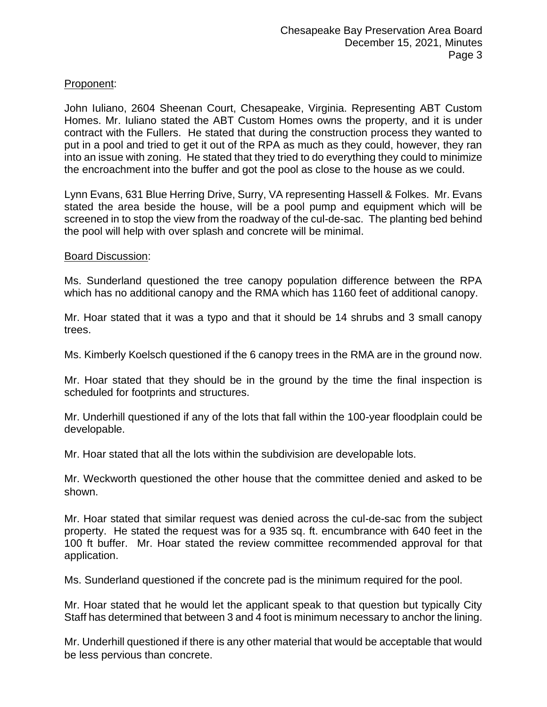## Proponent:

John Iuliano, 2604 Sheenan Court, Chesapeake, Virginia. Representing ABT Custom Homes. Mr. Iuliano stated the ABT Custom Homes owns the property, and it is under contract with the Fullers. He stated that during the construction process they wanted to put in a pool and tried to get it out of the RPA as much as they could, however, they ran into an issue with zoning. He stated that they tried to do everything they could to minimize the encroachment into the buffer and got the pool as close to the house as we could.

Lynn Evans, 631 Blue Herring Drive, Surry, VA representing Hassell & Folkes. Mr. Evans stated the area beside the house, will be a pool pump and equipment which will be screened in to stop the view from the roadway of the cul-de-sac. The planting bed behind the pool will help with over splash and concrete will be minimal.

#### Board Discussion:

Ms. Sunderland questioned the tree canopy population difference between the RPA which has no additional canopy and the RMA which has 1160 feet of additional canopy.

Mr. Hoar stated that it was a typo and that it should be 14 shrubs and 3 small canopy trees.

Ms. Kimberly Koelsch questioned if the 6 canopy trees in the RMA are in the ground now.

Mr. Hoar stated that they should be in the ground by the time the final inspection is scheduled for footprints and structures.

Mr. Underhill questioned if any of the lots that fall within the 100-year floodplain could be developable.

Mr. Hoar stated that all the lots within the subdivision are developable lots.

Mr. Weckworth questioned the other house that the committee denied and asked to be shown.

Mr. Hoar stated that similar request was denied across the cul-de-sac from the subject property. He stated the request was for a 935 sq. ft. encumbrance with 640 feet in the 100 ft buffer. Mr. Hoar stated the review committee recommended approval for that application.

Ms. Sunderland questioned if the concrete pad is the minimum required for the pool.

Mr. Hoar stated that he would let the applicant speak to that question but typically City Staff has determined that between 3 and 4 foot is minimum necessary to anchor the lining.

Mr. Underhill questioned if there is any other material that would be acceptable that would be less pervious than concrete.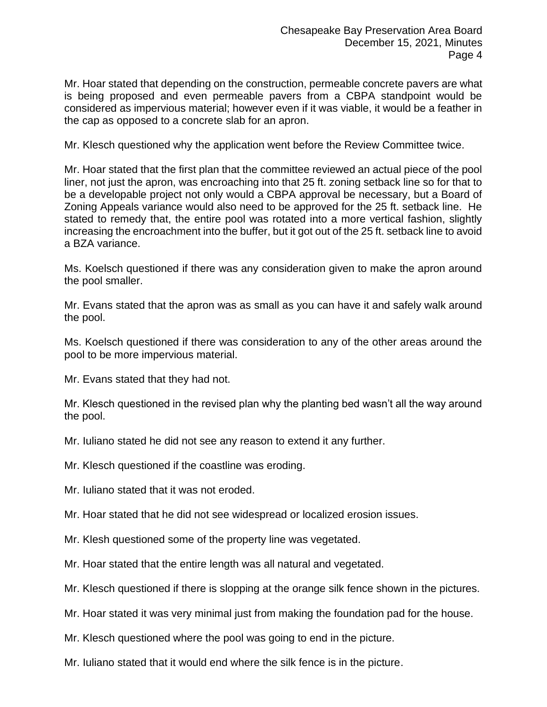Mr. Hoar stated that depending on the construction, permeable concrete pavers are what is being proposed and even permeable pavers from a CBPA standpoint would be considered as impervious material; however even if it was viable, it would be a feather in the cap as opposed to a concrete slab for an apron.

Mr. Klesch questioned why the application went before the Review Committee twice.

Mr. Hoar stated that the first plan that the committee reviewed an actual piece of the pool liner, not just the apron, was encroaching into that 25 ft. zoning setback line so for that to be a developable project not only would a CBPA approval be necessary, but a Board of Zoning Appeals variance would also need to be approved for the 25 ft. setback line. He stated to remedy that, the entire pool was rotated into a more vertical fashion, slightly increasing the encroachment into the buffer, but it got out of the 25 ft. setback line to avoid a BZA variance.

Ms. Koelsch questioned if there was any consideration given to make the apron around the pool smaller.

Mr. Evans stated that the apron was as small as you can have it and safely walk around the pool.

Ms. Koelsch questioned if there was consideration to any of the other areas around the pool to be more impervious material.

Mr. Evans stated that they had not.

Mr. Klesch questioned in the revised plan why the planting bed wasn't all the way around the pool.

Mr. Iuliano stated he did not see any reason to extend it any further.

Mr. Klesch questioned if the coastline was eroding.

Mr. Iuliano stated that it was not eroded.

Mr. Hoar stated that he did not see widespread or localized erosion issues.

Mr. Klesh questioned some of the property line was vegetated.

Mr. Hoar stated that the entire length was all natural and vegetated.

Mr. Klesch questioned if there is slopping at the orange silk fence shown in the pictures.

Mr. Hoar stated it was very minimal just from making the foundation pad for the house.

Mr. Klesch questioned where the pool was going to end in the picture.

Mr. Iuliano stated that it would end where the silk fence is in the picture.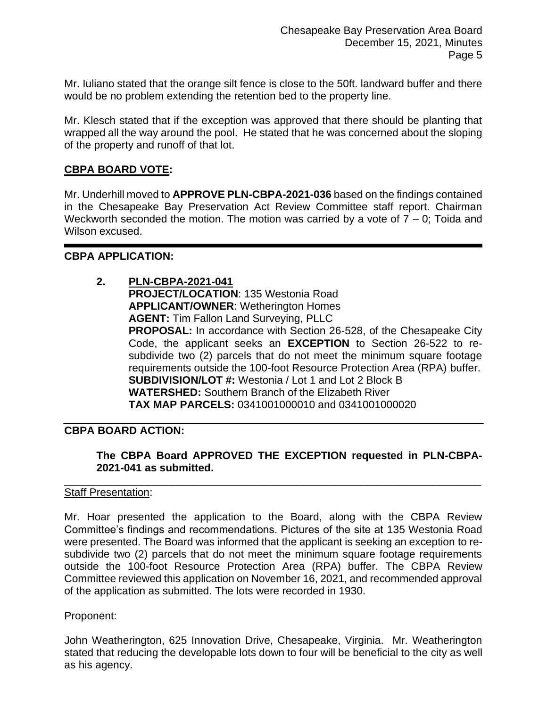Mr. Iuliano stated that the orange silt fence is close to the 50ft. landward buffer and there would be no problem extending the retention bed to the property line.

Mr. Klesch stated that if the exception was approved that there should be planting that wrapped all the way around the pool. He stated that he was concerned about the sloping of the property and runoff of that lot.

### **CBPA BOARD VOTE:**

Mr. Underhill moved to **APPROVE PLN-CBPA-2021-036** based on the findings contained in the Chesapeake Bay Preservation Act Review Committee staff report. Chairman Weckworth seconded the motion. The motion was carried by a vote of  $7 - 0$ ; Toida and Wilson excused.

### **CBPA APPLICATION:**

**2. PLN-CBPA-2021-041 PROJECT/LOCATION**: 135 Westonia Road **APPLICANT/OWNER**: Wetherington Homes **AGENT:** Tim Fallon Land Surveying, PLLC **PROPOSAL:** In accordance with Section 26-528, of the Chesapeake City Code, the applicant seeks an **EXCEPTION** to Section 26-522 to resubdivide two (2) parcels that do not meet the minimum square footage requirements outside the 100-foot Resource Protection Area (RPA) buffer. **SUBDIVISION/LOT #:** Westonia / Lot 1 and Lot 2 Block B **WATERSHED:** Southern Branch of the Elizabeth River **TAX MAP PARCELS:** 0341001000010 and 0341001000020

## **CBPA BOARD ACTION:**

### **The CBPA Board APPROVED THE EXCEPTION requested in PLN-CBPA-2021-041 as submitted.**

### Staff Presentation:

Mr. Hoar presented the application to the Board, along with the CBPA Review Committee's findings and recommendations. Pictures of the site at 135 Westonia Road were presented. The Board was informed that the applicant is seeking an exception to resubdivide two (2) parcels that do not meet the minimum square footage requirements outside the 100-foot Resource Protection Area (RPA) buffer. The CBPA Review Committee reviewed this application on November 16, 2021, and recommended approval of the application as submitted. The lots were recorded in 1930.

\_\_\_\_\_\_\_\_\_\_\_\_\_\_\_\_\_\_\_\_\_\_\_\_\_\_\_\_\_\_\_\_\_\_\_\_\_\_\_\_\_\_\_\_\_\_\_\_\_\_\_\_\_\_\_\_\_\_\_\_\_\_\_\_\_\_\_\_\_\_

### Proponent:

John Weatherington, 625 Innovation Drive, Chesapeake, Virginia. Mr. Weatherington stated that reducing the developable lots down to four will be beneficial to the city as well as his agency.